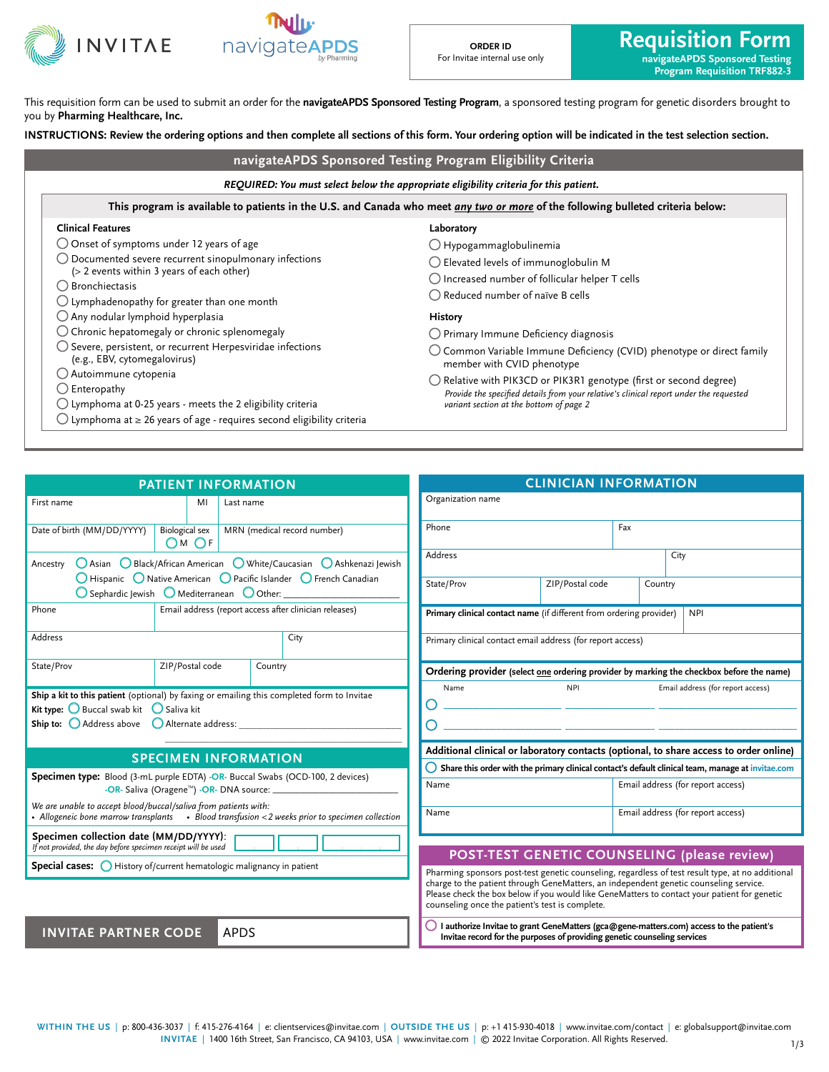

This requisition form can be used to submit an order for the **navigateAPDS Sponsored Testing Program**, a sponsored testing program for genetic disorders brought to you by **Pharming Healthcare, Inc.**

**INSTRUCTIONS: Review the ordering options and then complete all sections of this form. Your ordering option will be indicated in the test selection section.**

| REQUIRED: You must select below the appropriate eligibility criteria for this patient.                                          |                                                                                                              |  |  |  |  |  |
|---------------------------------------------------------------------------------------------------------------------------------|--------------------------------------------------------------------------------------------------------------|--|--|--|--|--|
| This program is available to patients in the U.S. and Canada who meet any two or more of the following bulleted criteria below: |                                                                                                              |  |  |  |  |  |
| <b>Clinical Features</b><br>Laboratory                                                                                          |                                                                                                              |  |  |  |  |  |
| $\bigcirc$ Onset of symptoms under 12 years of age                                                                              | $\bigcirc$ Hypogammaglobulinemia                                                                             |  |  |  |  |  |
| $\bigcirc$ Documented severe recurrent sinopulmonary infections                                                                 | $\bigcirc$ Elevated levels of immunoglobulin M                                                               |  |  |  |  |  |
| (> 2 events within 3 years of each other)                                                                                       | $\bigcirc$ Increased number of follicular helper T cells                                                     |  |  |  |  |  |
| $\bigcirc$ Bronchiectasis                                                                                                       | $\bigcirc$ Reduced number of naïve B cells                                                                   |  |  |  |  |  |
| $\bigcirc$ Lymphadenopathy for greater than one month                                                                           |                                                                                                              |  |  |  |  |  |
| $\bigcirc$ Any nodular lymphoid hyperplasia                                                                                     | <b>History</b>                                                                                               |  |  |  |  |  |
| $\bigcirc$ Chronic hepatomegaly or chronic splenomegaly                                                                         | $\bigcirc$ Primary Immune Deficiency diagnosis                                                               |  |  |  |  |  |
| $\bigcirc$ Severe, persistent, or recurrent Herpesviridae infections<br>(e.g., EBV, cytomegalovirus)                            | $\bigcirc$ Common Variable Immune Deficiency (CVID) phenotype or direct family<br>member with CVID phenotype |  |  |  |  |  |
| $\bigcirc$ Autoimmune cytopenia                                                                                                 | $\bigcirc$ Relative with PIK3CD or PIK3R1 genotype (first or second degree)                                  |  |  |  |  |  |
| $\bigcirc$ Enteropathy                                                                                                          | Provide the specified details from your relative's clinical report under the requested                       |  |  |  |  |  |
| $\bigcirc$ Lymphoma at 0-25 years - meets the 2 eligibility criteria                                                            | variant section at the bottom of page 2                                                                      |  |  |  |  |  |
| $\bigcirc$ Lymphoma at $\geq$ 26 years of age - requires second eligibility criteria                                            |                                                                                                              |  |  |  |  |  |

|                                                                                                                                             | <b>PATIENT INFORMATION</b>  |           |                                                                                                                  |                                                                                                          |
|---------------------------------------------------------------------------------------------------------------------------------------------|-----------------------------|-----------|------------------------------------------------------------------------------------------------------------------|----------------------------------------------------------------------------------------------------------|
| First name                                                                                                                                  | MI                          | Last name |                                                                                                                  | Organization name                                                                                        |
| Date of birth (MM/DD/YYYY)<br>Biological sex<br>Ом Оғ                                                                                       |                             |           | MRN (medical record number)                                                                                      | Phone                                                                                                    |
| Ancestry                                                                                                                                    |                             |           | ○ Asian ● Black/African American ● White/Caucasian ● Ashkenazi Jewish                                            | <b>Address</b>                                                                                           |
|                                                                                                                                             |                             |           | ◯ Hispanic ◯ Native American ◯ Pacific Islander ◯ French Canadian<br>O Sephardic Jewish O Mediterranean O Other: | State/Prov                                                                                               |
| Phone                                                                                                                                       |                             |           | Email address (report access after clinician releases)                                                           | Primary clinical contact                                                                                 |
| <b>Address</b>                                                                                                                              |                             |           | City                                                                                                             | Primary clinical contact                                                                                 |
| State/Prov                                                                                                                                  | ZIP/Postal code             |           | Country                                                                                                          | Ordering provider (se                                                                                    |
| <b>Kit type:</b> $\bigcirc$ Buccal swab kit $\bigcirc$ Saliva kit<br><b>Ship to:</b> $\bigcirc$ Address above $\bigcirc$ Alternate address: |                             |           |                                                                                                                  |                                                                                                          |
|                                                                                                                                             |                             |           |                                                                                                                  | Additional clinical or                                                                                   |
|                                                                                                                                             | <b>SPECIMEN INFORMATION</b> |           |                                                                                                                  | $\bigcap$ Share this order with                                                                          |
| Specimen type: Blood (3-mL purple EDTA) -OR- Buccal Swabs (OCD-100, 2 devices)                                                              |                             |           |                                                                                                                  | Name                                                                                                     |
| We are unable to accept blood/buccal/saliva from patients with:                                                                             |                             |           | • Allogeneic bone marrow transplants • Blood transfusion < 2 weeks prior to specimen collection                  | Name                                                                                                     |
| Specimen collection date (MM/DD/YYYY):<br>If not provided, the day before specimen receipt will be used                                     |                             |           |                                                                                                                  | <b>POST-TEST</b>                                                                                         |
| <b>Special cases:</b> O History of/current hematologic malignancy in patient                                                                |                             |           |                                                                                                                  | Pharming sponsors pos<br>charge to the patient thi<br>Please check the box be<br>counseling once the pat |
| <b>INVITAE PARTNER CODE</b>                                                                                                                 |                             | APDS      |                                                                                                                  | 1 authorize Invitae to<br>Invitas vocavd for the                                                         |

| <b>CLINICIAN INFORMATION</b>                                                                                                                                                                |                 |     |                                   |      |                                   |  |
|---------------------------------------------------------------------------------------------------------------------------------------------------------------------------------------------|-----------------|-----|-----------------------------------|------|-----------------------------------|--|
| Organization name                                                                                                                                                                           |                 |     |                                   |      |                                   |  |
| Phone                                                                                                                                                                                       |                 | Fax |                                   |      |                                   |  |
|                                                                                                                                                                                             |                 |     |                                   |      |                                   |  |
| Address                                                                                                                                                                                     |                 |     |                                   | City |                                   |  |
|                                                                                                                                                                                             |                 |     |                                   |      |                                   |  |
| State/Prov                                                                                                                                                                                  | ZIP/Postal code |     | Country                           |      |                                   |  |
| Primary clinical contact name (if different from ordering provider)                                                                                                                         |                 |     |                                   |      | <b>NPI</b>                        |  |
| Primary clinical contact email address (for report access)                                                                                                                                  |                 |     |                                   |      |                                   |  |
| Ordering provider (select one ordering provider by marking the checkbox before the name)                                                                                                    |                 |     |                                   |      |                                   |  |
| Name                                                                                                                                                                                        | <b>NPI</b>      |     | Email address (for report access) |      |                                   |  |
|                                                                                                                                                                                             |                 |     |                                   |      |                                   |  |
|                                                                                                                                                                                             |                 |     |                                   |      |                                   |  |
|                                                                                                                                                                                             |                 |     |                                   |      |                                   |  |
| Additional clinical or laboratory contacts (optional, to share access to order online)<br>Share this order with the primary clinical contact's default clinical team, manage at invitae.com |                 |     |                                   |      |                                   |  |
| Email address (for report access)<br>Name                                                                                                                                                   |                 |     |                                   |      |                                   |  |
|                                                                                                                                                                                             |                 |     |                                   |      |                                   |  |
| Name                                                                                                                                                                                        |                 |     |                                   |      | Email address (for report access) |  |
|                                                                                                                                                                                             |                 |     |                                   |      |                                   |  |
| <b>POST-TEST GENETIC COUNSELING (please review)</b>                                                                                                                                         |                 |     |                                   |      |                                   |  |
| Pharming sponsors post-test genetic counseling, regardless of test result type, at no additional                                                                                            |                 |     |                                   |      |                                   |  |

rough GeneMatters, an independent genetic counseling service. low if you would like GeneMatters to contact your patient for genetic tient's test is complete.

◯ **I authorize Invitae to grant GeneMatters (gca@gene-matters.com) access to the patient's Invitae record for the purposes of providing genetic counseling services**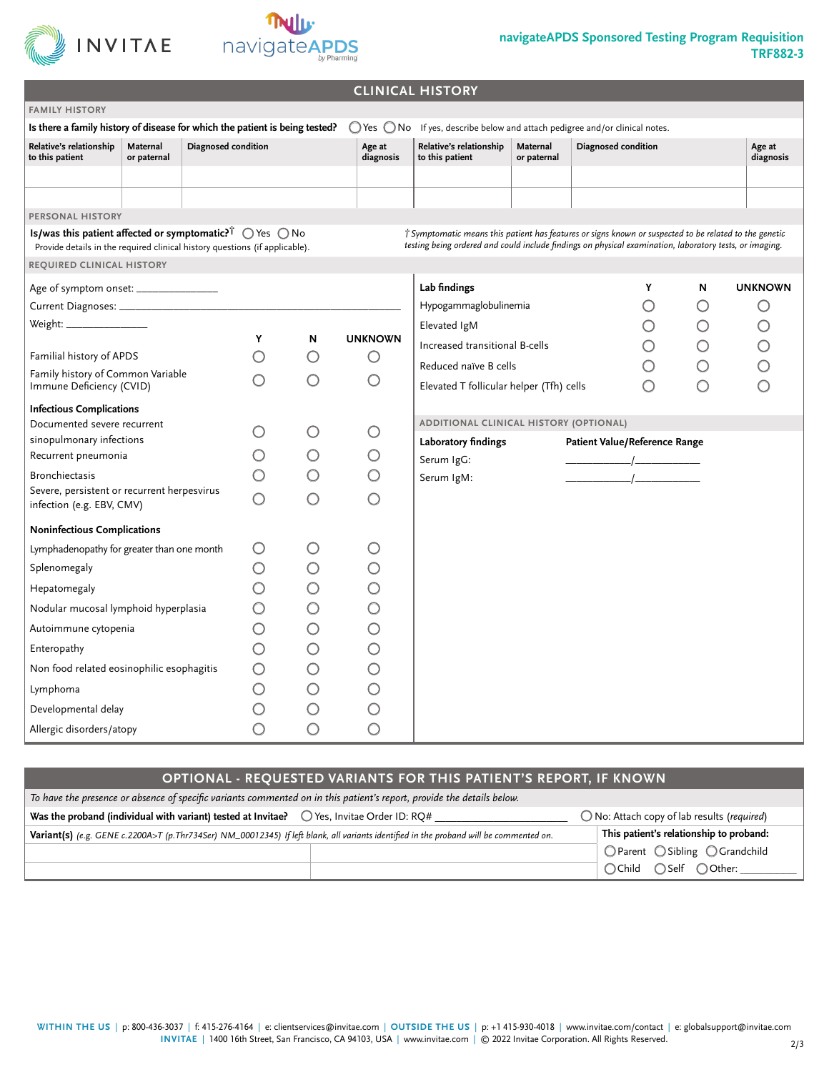



## **navigateAPDS Sponsored Testing Program Requisition TRF882-3**

|                                                                                                                                                                                  |                     |         |            |                     | <b>CLINICAL HISTORY</b>                                                                                                                                                                                           |                         |                               |            |                     |
|----------------------------------------------------------------------------------------------------------------------------------------------------------------------------------|---------------------|---------|------------|---------------------|-------------------------------------------------------------------------------------------------------------------------------------------------------------------------------------------------------------------|-------------------------|-------------------------------|------------|---------------------|
| <b>FAMILY HISTORY</b>                                                                                                                                                            |                     |         |            |                     |                                                                                                                                                                                                                   |                         |                               |            |                     |
| Is there a family history of disease for which the patient is being tested?                                                                                                      |                     |         |            |                     | ○ Yes ○ No If yes, describe below and attach pedigree and/or clinical notes.                                                                                                                                      |                         |                               |            |                     |
| Relative's relationship<br>Maternal<br>to this patient<br>or paternal                                                                                                            | Diagnosed condition |         |            | Age at<br>diagnosis | Relative's relationship<br>to this patient                                                                                                                                                                        | Maternal<br>or paternal | Diagnosed condition           |            | Age at<br>diagnosis |
|                                                                                                                                                                                  |                     |         |            |                     |                                                                                                                                                                                                                   |                         |                               |            |                     |
|                                                                                                                                                                                  |                     |         |            |                     |                                                                                                                                                                                                                   |                         |                               |            |                     |
| PERSONAL HISTORY                                                                                                                                                                 |                     |         |            |                     |                                                                                                                                                                                                                   |                         |                               |            |                     |
| Is/was this patient affected or symptomatic? $\mathring{\mathsf{T}}$ $\bigcirc$ Yes $\bigcirc$ No<br>Provide details in the required clinical history questions (if applicable). |                     |         |            |                     | T Symptomatic means this patient has features or signs known or suspected to be related to the genetic<br>testing being ordered and could include findings on physical examination, laboratory tests, or imaging. |                         |                               |            |                     |
| REQUIRED CLINICAL HISTORY                                                                                                                                                        |                     |         |            |                     |                                                                                                                                                                                                                   |                         |                               |            |                     |
| Age of symptom onset: __________________                                                                                                                                         |                     |         |            |                     | Lab findings                                                                                                                                                                                                      |                         | Υ                             | N          | <b>UNKNOWN</b>      |
|                                                                                                                                                                                  |                     |         |            |                     | Hypogammaglobulinemia                                                                                                                                                                                             |                         | $\bigcirc$                    | $\bigcirc$ | $\bigcirc$          |
| Weight: ________________                                                                                                                                                         |                     |         |            |                     | Elevated IgM                                                                                                                                                                                                      |                         | $\bigcirc$                    | $\bigcirc$ | $\bigcirc$          |
|                                                                                                                                                                                  |                     | Y       | N          | <b>UNKNOWN</b>      | Increased transitional B-cells                                                                                                                                                                                    |                         | $\bigcirc$                    | $\bigcirc$ | $\overline{O}$      |
| Familial history of APDS<br>Family history of Common Variable                                                                                                                    |                     |         | Ο          | Ő                   | Reduced naïve B cells                                                                                                                                                                                             |                         | $\bigcirc$                    | $\bigcirc$ |                     |
| Immune Deficiency (CVID)                                                                                                                                                         |                     | ∩       | $\bigcirc$ | $\bigcirc$          | Elevated T follicular helper (Tfh) cells                                                                                                                                                                          |                         | $\bigcirc$                    | $\bigcirc$ |                     |
| <b>Infectious Complications</b>                                                                                                                                                  |                     |         |            |                     |                                                                                                                                                                                                                   |                         |                               |            |                     |
| Documented severe recurrent                                                                                                                                                      |                     |         | O          | O                   | ADDITIONAL CLINICAL HISTORY (OPTIONAL)                                                                                                                                                                            |                         |                               |            |                     |
| sinopulmonary infections                                                                                                                                                         |                     |         |            |                     | Laboratory findings                                                                                                                                                                                               |                         | Patient Value/Reference Range |            |                     |
| Recurrent pneumonia                                                                                                                                                              |                     |         | $\bigcirc$ | $\bigcirc$          | Serum IgG:                                                                                                                                                                                                        |                         |                               |            |                     |
| <b>Bronchiectasis</b><br>Severe, persistent or recurrent herpesvirus                                                                                                             |                     | O       | O          | O                   | Serum IgM:                                                                                                                                                                                                        |                         |                               |            |                     |
| infection (e.g. EBV, CMV)                                                                                                                                                        |                     | Ω       | $\bigcirc$ | ∩                   |                                                                                                                                                                                                                   |                         |                               |            |                     |
| <b>Noninfectious Complications</b>                                                                                                                                               |                     |         |            |                     |                                                                                                                                                                                                                   |                         |                               |            |                     |
| Lymphadenopathy for greater than one month                                                                                                                                       |                     | Ő       | Ő          | O                   |                                                                                                                                                                                                                   |                         |                               |            |                     |
| Splenomegaly                                                                                                                                                                     |                     | O       | O          | $\bigcirc$          |                                                                                                                                                                                                                   |                         |                               |            |                     |
| Hepatomegaly                                                                                                                                                                     |                     | O       | $\bigcirc$ | $\bigcirc$          |                                                                                                                                                                                                                   |                         |                               |            |                     |
| Nodular mucosal lymphoid hyperplasia                                                                                                                                             |                     | O       | $\bigcirc$ | $\bigcirc$          |                                                                                                                                                                                                                   |                         |                               |            |                     |
| Autoimmune cytopenia                                                                                                                                                             |                     | O       | $\bigcirc$ | $\bigcirc$          |                                                                                                                                                                                                                   |                         |                               |            |                     |
| Enteropathy                                                                                                                                                                      |                     | O       | $\bigcirc$ | $\bigcirc$          |                                                                                                                                                                                                                   |                         |                               |            |                     |
| Non food related eosinophilic esophagitis                                                                                                                                        |                     | $\circ$ | $\bigcirc$ | $\overline{O}$      |                                                                                                                                                                                                                   |                         |                               |            |                     |
| Lymphoma                                                                                                                                                                         |                     | O       | $\bigcirc$ |                     |                                                                                                                                                                                                                   |                         |                               |            |                     |
| Developmental delay                                                                                                                                                              |                     | O       | $\bigcirc$ | $\overline{O}$      |                                                                                                                                                                                                                   |                         |                               |            |                     |
| Allergic disorders/atopy                                                                                                                                                         |                     | O       | $\bigcirc$ | $\bigcirc$          |                                                                                                                                                                                                                   |                         |                               |            |                     |

## **OPTIONAL - REQUESTED VARIANTS FOR THIS PATIENT'S REPORT, IF KNOWN**

| To have the presence or absence of specific variants commented on in this patient's report, provide the details below.                                     |                                         |  |  |  |  |
|------------------------------------------------------------------------------------------------------------------------------------------------------------|-----------------------------------------|--|--|--|--|
| Was the proband (individual with variant) tested at Invitae? $\bigcirc$ Yes, Invitae Order ID: RQ#<br>$\bigcirc$ No: Attach copy of lab results (required) |                                         |  |  |  |  |
| Variant(s) (e.g. GENE c.2200A>T (p.Thr734Ser) NM_00012345) If left blank, all variants identified in the proband will be commented on.                     | This patient's relationship to proband: |  |  |  |  |
|                                                                                                                                                            | ○ Parent ○ Sibling ○ Grandchild         |  |  |  |  |
|                                                                                                                                                            | ○Child ○Self ○Other:                    |  |  |  |  |